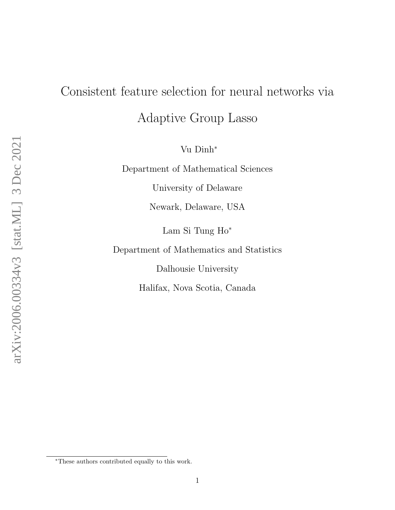# Consistent feature selection for neural networks via

Adaptive Group Lasso

Vu Dinh<sup>∗</sup>

Department of Mathematical Sciences

University of Delaware

Newark, Delaware, USA

Lam Si Tung Ho<sup>∗</sup>

Department of Mathematics and Statistics

Dalhousie University

Halifax, Nova Scotia, Canada

<sup>∗</sup>These authors contributed equally to this work.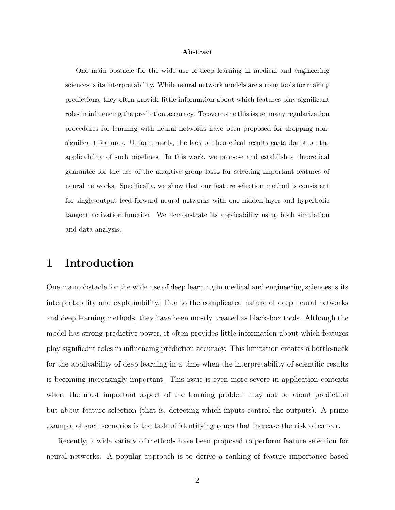#### Abstract

One main obstacle for the wide use of deep learning in medical and engineering sciences is its interpretability. While neural network models are strong tools for making predictions, they often provide little information about which features play significant roles in influencing the prediction accuracy. To overcome this issue, many regularization procedures for learning with neural networks have been proposed for dropping nonsignificant features. Unfortunately, the lack of theoretical results casts doubt on the applicability of such pipelines. In this work, we propose and establish a theoretical guarantee for the use of the adaptive group lasso for selecting important features of neural networks. Specifically, we show that our feature selection method is consistent for single-output feed-forward neural networks with one hidden layer and hyperbolic tangent activation function. We demonstrate its applicability using both simulation and data analysis.

# 1 Introduction

One main obstacle for the wide use of deep learning in medical and engineering sciences is its interpretability and explainability. Due to the complicated nature of deep neural networks and deep learning methods, they have been mostly treated as black-box tools. Although the model has strong predictive power, it often provides little information about which features play significant roles in influencing prediction accuracy. This limitation creates a bottle-neck for the applicability of deep learning in a time when the interpretability of scientific results is becoming increasingly important. This issue is even more severe in application contexts where the most important aspect of the learning problem may not be about prediction but about feature selection (that is, detecting which inputs control the outputs). A prime example of such scenarios is the task of identifying genes that increase the risk of cancer.

Recently, a wide variety of methods have been proposed to perform feature selection for neural networks. A popular approach is to derive a ranking of feature importance based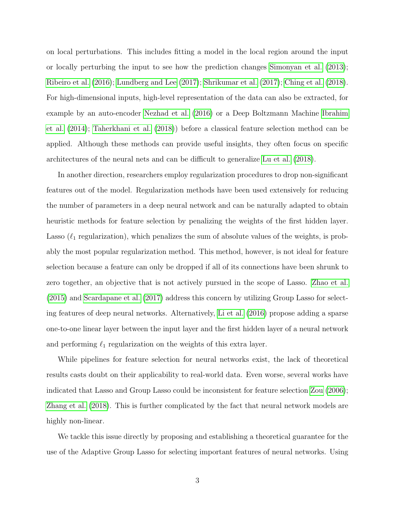on local perturbations. This includes fitting a model in the local region around the input or locally perturbing the input to see how the prediction changes [Simonyan et al.](#page-22-0) [\(2013\)](#page-22-0); [Ribeiro et al.](#page-22-1) [\(2016\)](#page-22-1); [Lundberg and Lee](#page-22-2) [\(2017\)](#page-22-2); [Shrikumar et al.](#page-22-3) [\(2017\)](#page-22-3); [Ching et al.](#page-21-0) [\(2018\)](#page-21-0). For high-dimensional inputs, high-level representation of the data can also be extracted, for example by an auto-encoder [Nezhad et al.](#page-22-4) [\(2016\)](#page-22-4) or a Deep Boltzmann Machine [Ibrahim](#page-21-1) [et al.](#page-21-1) [\(2014\)](#page-21-1); [Taherkhani et al.](#page-22-5) [\(2018\)](#page-22-5)) before a classical feature selection method can be applied. Although these methods can provide useful insights, they often focus on specific architectures of the neural nets and can be difficult to generalize [Lu et al.](#page-21-2) [\(2018\)](#page-21-2).

In another direction, researchers employ regularization procedures to drop non-significant features out of the model. Regularization methods have been used extensively for reducing the number of parameters in a deep neural network and can be naturally adapted to obtain heuristic methods for feature selection by penalizing the weights of the first hidden layer. Lasso  $(\ell_1$  regularization), which penalizes the sum of absolute values of the weights, is probably the most popular regularization method. This method, however, is not ideal for feature selection because a feature can only be dropped if all of its connections have been shrunk to zero together, an objective that is not actively pursued in the scope of Lasso. [Zhao et al.](#page-23-0) [\(2015\)](#page-23-0) and [Scardapane et al.](#page-22-6) [\(2017\)](#page-22-6) address this concern by utilizing Group Lasso for selecting features of deep neural networks. Alternatively, [Li et al.](#page-21-3) [\(2016\)](#page-21-3) propose adding a sparse one-to-one linear layer between the input layer and the first hidden layer of a neural network and performing  $\ell_1$  regularization on the weights of this extra layer.

While pipelines for feature selection for neural networks exist, the lack of theoretical results casts doubt on their applicability to real-world data. Even worse, several works have indicated that Lasso and Group Lasso could be inconsistent for feature selection [Zou](#page-23-1) [\(2006\)](#page-23-1); [Zhang et al.](#page-23-2) [\(2018\)](#page-23-2). This is further complicated by the fact that neural network models are highly non-linear.

We tackle this issue directly by proposing and establishing a theoretical guarantee for the use of the Adaptive Group Lasso for selecting important features of neural networks. Using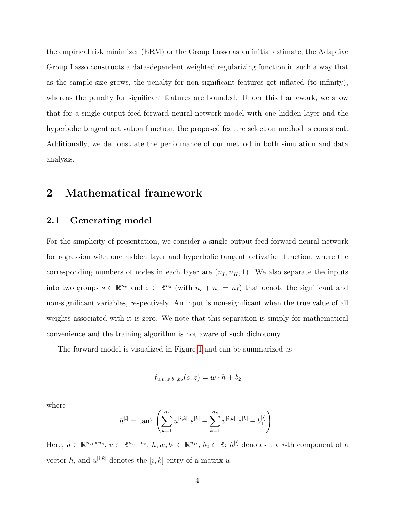the empirical risk minimizer (ERM) or the Group Lasso as an initial estimate, the Adaptive Group Lasso constructs a data-dependent weighted regularizing function in such a way that as the sample size grows, the penalty for non-significant features get inflated (to infinity), whereas the penalty for significant features are bounded. Under this framework, we show that for a single-output feed-forward neural network model with one hidden layer and the hyperbolic tangent activation function, the proposed feature selection method is consistent. Additionally, we demonstrate the performance of our method in both simulation and data analysis.

## 2 Mathematical framework

#### 2.1 Generating model

For the simplicity of presentation, we consider a single-output feed-forward neural network for regression with one hidden layer and hyperbolic tangent activation function, where the corresponding numbers of nodes in each layer are  $(n_I, n_H, 1)$ . We also separate the inputs into two groups  $s \in \mathbb{R}^{n_s}$  and  $z \in \mathbb{R}^{n_z}$  (with  $n_s + n_z = n_l$ ) that denote the significant and non-significant variables, respectively. An input is non-significant when the true value of all weights associated with it is zero. We note that this separation is simply for mathematical convenience and the training algorithm is not aware of such dichotomy.

The forward model is visualized in Figure [1](#page-4-0) and can be summarized as

$$
f_{u,v,w,b_1,b_2}(s,z) = w \cdot h + b_2
$$

where

$$
h^{[i]} = \tanh\left(\sum_{k=1}^{n_s} u^{[i,k]} \ s^{[k]} + \sum_{k=1}^{n_z} v^{[i,k]} \ z^{[k]} + b_1^{[i]}\right).
$$

Here,  $u \in \mathbb{R}^{n_H \times n_s}$ ,  $v \in \mathbb{R}^{n_H \times n_z}$ ,  $h, w, b_1 \in \mathbb{R}^{n_H}$ ,  $b_2 \in \mathbb{R}$ ;  $h^{[i]}$  denotes the *i*-th component of a vector h, and  $u^{[i,k]}$  denotes the [i, k]-entry of a matrix u.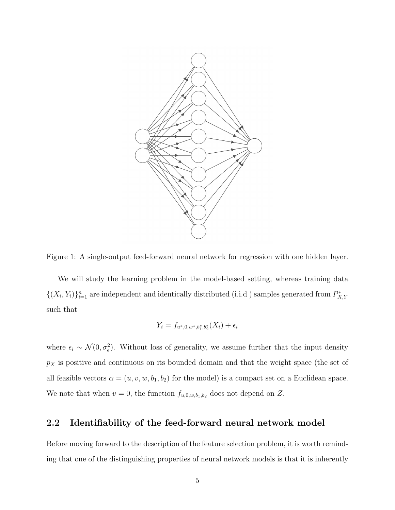

<span id="page-4-0"></span>

We will study the learning problem in the model-based setting, whereas training data  $\{(X_i,Y_i)\}_{i=1}^n$  are independent and identically distributed (i.i.d) samples generated from  $P_{X,Y}^*$ such that

$$
Y_i = f_{u^*,0,w^*,b_1^*,b_2^*}(X_i) + \epsilon_i
$$

where  $\epsilon_i \sim \mathcal{N}(0, \sigma_e^2)$ . Without loss of generality, we assume further that the input density  $p_X$  is positive and continuous on its bounded domain and that the weight space (the set of all feasible vectors  $\alpha = (u, v, w, b_1, b_2)$  for the model) is a compact set on a Euclidean space. We note that when  $v = 0$ , the function  $f_{u,0,w,b_1,b_2}$  does not depend on Z.

#### 2.2 Identifiability of the feed-forward neural network model

Before moving forward to the description of the feature selection problem, it is worth reminding that one of the distinguishing properties of neural network models is that it is inherently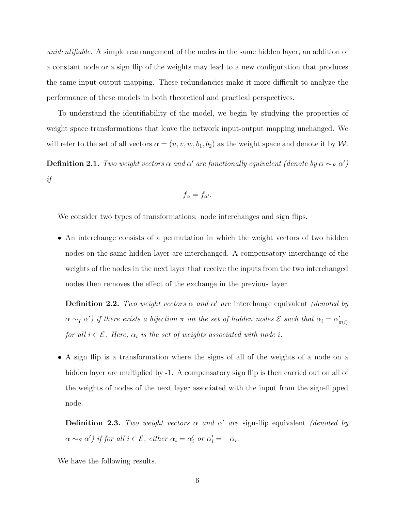unidentifiable. A simple rearrangement of the nodes in the same hidden layer, an addition of a constant node or a sign flip of the weights may lead to a new configuration that produces the same input-output mapping. These redundancies make it more difficult to analyze the performance of these models in both theoretical and practical perspectives.

To understand the identifiability of the model, we begin by studying the properties of weight space transformations that leave the network input-output mapping unchanged. We will refer to the set of all vectors  $\alpha = (u, v, w, b_1, b_2)$  as the weight space and denote it by W.

**Definition 2.1.** Two weight vectors  $\alpha$  and  $\alpha'$  are functionally equivalent (denote by  $\alpha \sim_F \alpha'$ ) if

$$
f_{\alpha}=f_{\alpha'}.
$$

We consider two types of transformations: node interchanges and sign flips.

• An interchange consists of a permutation in which the weight vectors of two hidden nodes on the same hidden layer are interchanged. A compensatory interchange of the weights of the nodes in the next layer that receive the inputs from the two interchanged nodes then removes the effect of the exchange in the previous layer.

**Definition 2.2.** Two weight vectors  $\alpha$  and  $\alpha'$  are interchange equivalent (denoted by  $\alpha \sim_I \alpha'$ ) if there exists a bijection  $\pi$  on the set of hidden nodes  $\mathcal E$  such that  $\alpha_i = \alpha'_{\pi(i)}$ for all  $i \in \mathcal{E}$ . Here,  $\alpha_i$  is the set of weights associated with node i.

• A sign flip is a transformation where the signs of all of the weights of a node on a hidden layer are multiplied by -1. A compensatory sign flip is then carried out on all of the weights of nodes of the next layer associated with the input from the sign-flipped node.

**Definition 2.3.** Two weight vectors  $\alpha$  and  $\alpha'$  are sign-flip equivalent *(denoted by*  $\alpha \sim_S \alpha'$ ) if for all  $i \in \mathcal{E}$ , either  $\alpha_i = \alpha'_i$  or  $\alpha'_i = -\alpha_i$ .

We have the following results.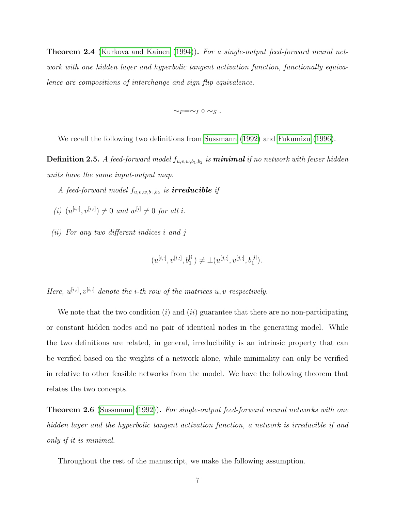**Theorem 2.4** [\(Kurkova and Kainen](#page-21-4) [\(1994\)](#page-21-4)). For a single-output feed-forward neural network with one hidden layer and hyperbolic tangent activation function, functionally equivalence are compositions of interchange and sign flip equivalence.

 $\sim_F=\sim_I\circ\sim_S$ .

We recall the following two definitions from [Sussmann](#page-22-7) [\(1992\)](#page-22-7) and [Fukumizu](#page-21-5) [\(1996\)](#page-21-5).

**Definition 2.5.** A feed-forward model  $f_{u,v,w,b_1,b_2}$  is **minimal** if no network with fewer hidden units have the same input-output map.

A feed-forward model  $f_{u,v,w,b_1,b_2}$  is **irreducible** if

- (i)  $(u^{[i,:]}, v^{[i,:]}) \neq 0$  and  $w^{[i]} \neq 0$  for all i.
- (ii) For any two different indices i and j

$$
(u^{[i,:]}, v^{[i,:]}, b_1^{[i]}) \neq \pm(u^{[j,:]}, v^{[j,:]}, b_1^{[j]}).
$$

Here,  $u^{[i,:]}, v^{[i,:]}$  denote the *i*-th row of the matrices  $u, v$  respectively.

We note that the two condition  $(i)$  and  $(ii)$  guarantee that there are no non-participating or constant hidden nodes and no pair of identical nodes in the generating model. While the two definitions are related, in general, irreducibility is an intrinsic property that can be verified based on the weights of a network alone, while minimality can only be verified in relative to other feasible networks from the model. We have the following theorem that relates the two concepts.

<span id="page-6-0"></span>**Theorem 2.6** [\(Sussmann](#page-22-7) [\(1992\)](#page-22-7)). For single-output feed-forward neural networks with one hidden layer and the hyperbolic tangent activation function, a network is irreducible if and only if it is minimal.

Throughout the rest of the manuscript, we make the following assumption.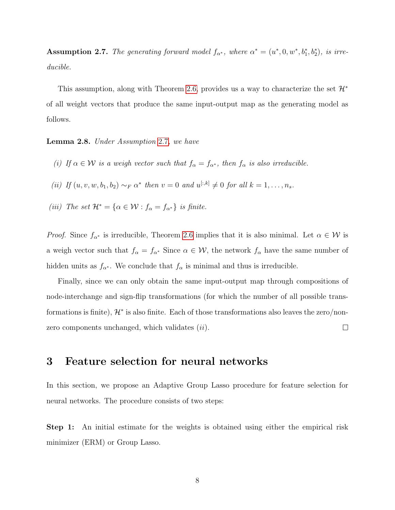<span id="page-7-0"></span>**Assumption 2.7.** The generating forward model  $f_{\alpha^*}$ , where  $\alpha^* = (u^*, 0, w^*, b_1^*, b_2^*)$ , is irreducible.

This assumption, along with Theorem [2](#page-6-0).6, provides us a way to characterize the set  $\mathcal{H}^*$ of all weight vectors that produce the same input-output map as the generating model as follows.

<span id="page-7-1"></span>Lemma 2.8. Under Assumption [2](#page-7-0).7, we have

- (i) If  $\alpha \in \mathcal{W}$  is a weigh vector such that  $f_{\alpha} = f_{\alpha^*}$ , then  $f_{\alpha}$  is also irreducible.
- (ii) If  $(u, v, w, b_1, b_2) \sim_F \alpha^*$  then  $v = 0$  and  $u^{[:,k]} \neq 0$  for all  $k = 1, \ldots, n_s$ .
- (iii) The set  $\mathcal{H}^* = {\alpha \in \mathcal{W} : f_{\alpha} = f_{\alpha^*}}$  is finite.

*Proof.* Since  $f_{\alpha^*}$  is irreducible, Theorem [2](#page-6-0).6 implies that it is also minimal. Let  $\alpha \in \mathcal{W}$  is a weigh vector such that  $f_{\alpha} = f_{\alpha^*}$  Since  $\alpha \in \mathcal{W}$ , the network  $f_{\alpha}$  have the same number of hidden units as  $f_{\alpha^*}$ . We conclude that  $f_{\alpha}$  is minimal and thus is irreducible.

Finally, since we can only obtain the same input-output map through compositions of node-interchange and sign-flip transformations (for which the number of all possible transformations is finite),  $\mathcal{H}^*$  is also finite. Each of those transformations also leaves the zero/nonzero components unchanged, which validates  $(ii)$ .  $\Box$ 

### 3 Feature selection for neural networks

In this section, we propose an Adaptive Group Lasso procedure for feature selection for neural networks. The procedure consists of two steps:

Step 1: An initial estimate for the weights is obtained using either the empirical risk minimizer (ERM) or Group Lasso.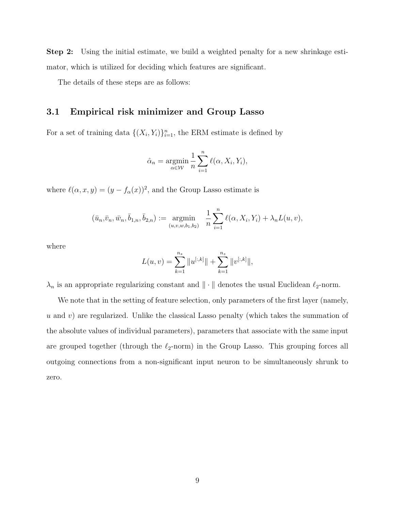Step 2: Using the initial estimate, we build a weighted penalty for a new shrinkage estimator, which is utilized for deciding which features are significant.

The details of these steps are as follows:

#### 3.1 Empirical risk minimizer and Group Lasso

For a set of training data  $\{(X_i, Y_i)\}_{i=1}^n$ , the ERM estimate is defined by

$$
\hat{\alpha}_n = \underset{\alpha \in \mathcal{W}}{\operatorname{argmin}} \frac{1}{n} \sum_{i=1}^n \ell(\alpha, X_i, Y_i),
$$

where  $\ell(\alpha, x, y) = (y - f_{\alpha}(x))^2$ , and the Group Lasso estimate is

$$
(\bar{u}_n, \bar{v}_n, \bar{w}_n, \bar{b}_{1,n}, \bar{b}_{2,n}) := \underset{(u,v,w,b_1,b_2)}{\text{argmin}} \frac{1}{n} \sum_{i=1}^n \ell(\alpha, X_i, Y_i) + \lambda_n L(u,v),
$$

where

$$
L(u, v) = \sum_{k=1}^{n_s} ||u^{[:,k]}|| + \sum_{k=1}^{n_z} ||v^{[:,k]}||,
$$

 $\lambda_n$  is an appropriate regularizing constant and  $\|\cdot\|$  denotes the usual Euclidean  $\ell_2$ -norm.

We note that in the setting of feature selection, only parameters of the first layer (namely,  $u$  and  $v$ ) are regularized. Unlike the classical Lasso penalty (which takes the summation of the absolute values of individual parameters), parameters that associate with the same input are grouped together (through the  $\ell_2$ -norm) in the Group Lasso. This grouping forces all outgoing connections from a non-significant input neuron to be simultaneously shrunk to zero.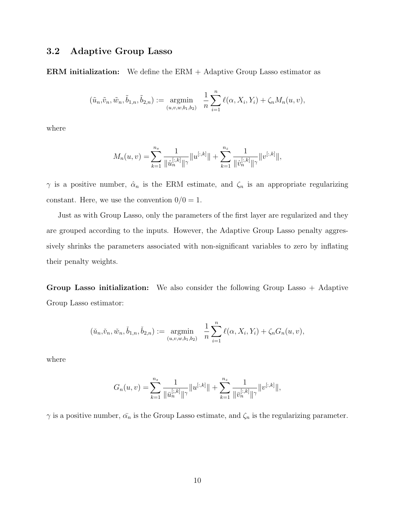#### 3.2 Adaptive Group Lasso

**ERM initialization:** We define the  $ERM + Adaptive Group Lasso estimator as$ 

$$
(\tilde{u}_n, \tilde{v}_n, \tilde{w}_n, \tilde{b}_{1,n}, \tilde{b}_{2,n}) := \underset{(u,v,w,b_1,b_2)}{\text{argmin}} \frac{1}{n} \sum_{i=1}^n \ell(\alpha, X_i, Y_i) + \zeta_n M_n(u,v),
$$

where

$$
M_n(u,v) = \sum_{k=1}^{n_s} \frac{1}{\|\hat{u}_n^{[:,k]}\|} \|u^{[:,k]}\| + \sum_{k=1}^{n_z} \frac{1}{\|\hat{v}_n^{[:,k]}\|} \|v^{[:,k]}\|,
$$

 $\gamma$  is a positive number,  $\hat{\alpha}_n$  is the ERM estimate, and  $\zeta_n$  is an appropriate regularizing constant. Here, we use the convention  $0/0 = 1$ .

Just as with Group Lasso, only the parameters of the first layer are regularized and they are grouped according to the inputs. However, the Adaptive Group Lasso penalty aggressively shrinks the parameters associated with non-significant variables to zero by inflating their penalty weights.

Group Lasso initialization: We also consider the following Group Lasso + Adaptive Group Lasso estimator:

$$
(\check{u}_n, \check{v}_n, \check{w}_n, \check{b}_{1,n}, \check{b}_{2,n}) := \underset{(u,v,w,b_1,b_2)}{\text{argmin}} \frac{1}{n} \sum_{i=1}^n \ell(\alpha, X_i, Y_i) + \zeta_n G_n(u,v),
$$

where

$$
G_n(u,v) = \sum_{k=1}^{n_s} \frac{1}{\|\bar{u}_n^{[:,k]}\|^\gamma} \|u^{[:,k]}\| + \sum_{k=1}^{n_z} \frac{1}{\|\bar{v}_n^{[:,k]}\|^\gamma} \|v^{[:,k]}\|,
$$

 $\gamma$  is a positive number,  $\bar{\alpha_n}$  is the Group Lasso estimate, and  $\zeta_n$  is the regularizing parameter.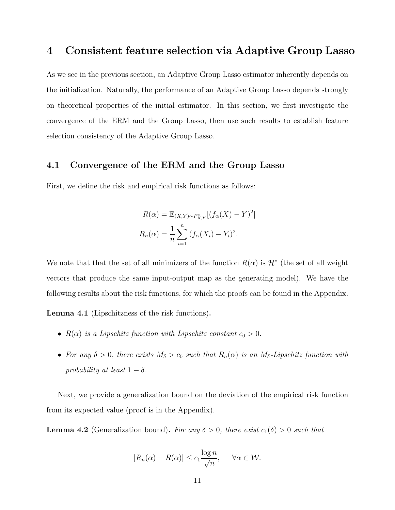### 4 Consistent feature selection via Adaptive Group Lasso

As we see in the previous section, an Adaptive Group Lasso estimator inherently depends on the initialization. Naturally, the performance of an Adaptive Group Lasso depends strongly on theoretical properties of the initial estimator. In this section, we first investigate the convergence of the ERM and the Group Lasso, then use such results to establish feature selection consistency of the Adaptive Group Lasso.

#### 4.1 Convergence of the ERM and the Group Lasso

First, we define the risk and empirical risk functions as follows:

$$
R(\alpha) = \mathbb{E}_{(X,Y)\sim P_{X,Y}^*}[(f_{\alpha}(X) - Y)^2]
$$

$$
R_n(\alpha) = \frac{1}{n} \sum_{i=1}^n (f_{\alpha}(X_i) - Y_i)^2.
$$

We note that that the set of all minimizers of the function  $R(\alpha)$  is  $\mathcal{H}^*$  (the set of all weight vectors that produce the same input-output map as the generating model). We have the following results about the risk functions, for which the proofs can be found in the Appendix.

<span id="page-10-1"></span>Lemma 4.1 (Lipschitzness of the risk functions).

- $R(\alpha)$  is a Lipschitz function with Lipschitz constant  $c_0 > 0$ .
- For any  $\delta > 0$ , there exists  $M_{\delta} > c_0$  such that  $R_n(\alpha)$  is an  $M_{\delta}$ -Lipschitz function with probability at least  $1 - \delta$ .

Next, we provide a generalization bound on the deviation of the empirical risk function from its expected value (proof is in the Appendix).

<span id="page-10-0"></span>**Lemma 4.2** (Generalization bound). For any  $\delta > 0$ , there exist  $c_1(\delta) > 0$  such that

$$
|R_n(\alpha) - R(\alpha)| \le c_1 \frac{\log n}{\sqrt{n}}, \quad \forall \alpha \in \mathcal{W}.
$$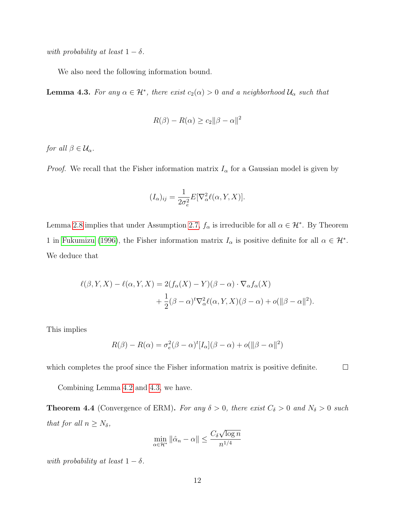with probability at least  $1 - \delta$ .

We also need the following information bound.

<span id="page-11-0"></span>**Lemma 4.3.** For any  $\alpha \in \mathcal{H}^*$ , there exist  $c_2(\alpha) > 0$  and a neighborhood  $\mathcal{U}_{\alpha}$  such that

$$
R(\beta) - R(\alpha) \ge c_2 ||\beta - \alpha||^2
$$

for all  $\beta \in \mathcal{U}_{\alpha}$ .

*Proof.* We recall that the Fisher information matrix  $I_{\alpha}$  for a Gaussian model is given by

$$
(I_{\alpha})_{ij} = \frac{1}{2\sigma_e^2} E[\nabla_{\alpha}^2 \ell(\alpha, Y, X)].
$$

Lemma [2.8](#page-7-1) implies that under Assumption 2.[7,](#page-7-0)  $f_{\alpha}$  is irreducible for all  $\alpha \in \mathcal{H}^*$ . By Theorem 1 in [Fukumizu](#page-21-5) [\(1996\)](#page-21-5), the Fisher information matrix  $I_{\alpha}$  is positive definite for all  $\alpha \in \mathcal{H}^*$ . We deduce that

$$
\ell(\beta, Y, X) - \ell(\alpha, Y, X) = 2(f_{\alpha}(X) - Y)(\beta - \alpha) \cdot \nabla_{\alpha} f_{\alpha}(X) + \frac{1}{2}(\beta - \alpha)^{t} \nabla_{\alpha}^{2} \ell(\alpha, Y, X)(\beta - \alpha) + o(\|\beta - \alpha\|^{2}).
$$

This implies

$$
R(\beta) - R(\alpha) = \sigma_e^2 (\beta - \alpha)^t [I_\alpha](\beta - \alpha) + o(||\beta - \alpha||^2)
$$

which completes the proof since the Fisher information matrix is positive definite.  $\Box$ 

Combining Lemma 4.[2](#page-10-0) and [4](#page-11-0).3, we have.

<span id="page-11-1"></span>**Theorem 4.4** (Convergence of ERM). For any  $\delta > 0$ , there exist  $C_{\delta} > 0$  and  $N_{\delta} > 0$  such that for all  $n \geq N_{\delta}$ , √

$$
\min_{\alpha \in \mathcal{H}^*} \|\hat{\alpha}_n - \alpha\| \le \frac{C_\delta \sqrt{\log n}}{n^{1/4}}
$$

with probability at least  $1 - \delta$ .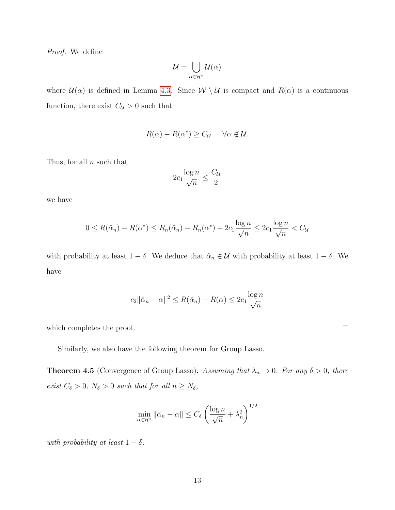Proof. We define

$$
\mathcal{U}=\bigcup_{\alpha\in\mathcal{H}^*}\mathcal{U}(\alpha)
$$

where  $\mathcal{U}(\alpha)$  is defined in Lemma 4.[3.](#page-11-0) Since  $\mathcal{W} \setminus \mathcal{U}$  is compact and  $R(\alpha)$  is a continuous function, there exist  $C_{\mathcal{U}} > 0$  such that

$$
R(\alpha) - R(\alpha^*) \ge C_{\mathcal{U}} \quad \forall \alpha \notin \mathcal{U}.
$$

Thus, for all  $n$  such that

$$
2c_1 \frac{\log n}{\sqrt{n}} \le \frac{C_{\mathcal{U}}}{2}
$$

we have

$$
0 \leq R(\hat{\alpha}_n) - R(\alpha^*) \leq R_n(\hat{\alpha}_n) - R_n(\alpha^*) + 2c_1 \frac{\log n}{\sqrt{n}} \leq 2c_1 \frac{\log n}{\sqrt{n}} < C_{\mathcal{U}}
$$

with probability at least  $1 - \delta$ . We deduce that  $\hat{\alpha}_n \in \mathcal{U}$  with probability at least  $1 - \delta$ . We have

$$
c_2 \|\hat{\alpha}_n - \alpha\|^2 \le R(\hat{\alpha}_n) - R(\alpha) \le 2c_1 \frac{\log n}{\sqrt{n}}
$$

which completes the proof.

Similarly, we also have the following theorem for Group Lasso.

**Theorem 4.5** (Convergence of Group Lasso). Assuming that  $\lambda_n \to 0$ . For any  $\delta > 0$ , there exist  $C_{\delta} > 0$ ,  $N_{\delta} > 0$  such that for all  $n \ge N_{\delta}$ ,

$$
\min_{\alpha \in \mathcal{H}^*} \|\bar{\alpha}_n - \alpha\| \le C_\delta \left(\frac{\log n}{\sqrt{n}} + \lambda_n^2\right)^{1/2}
$$

with probability at least  $1 - \delta$ .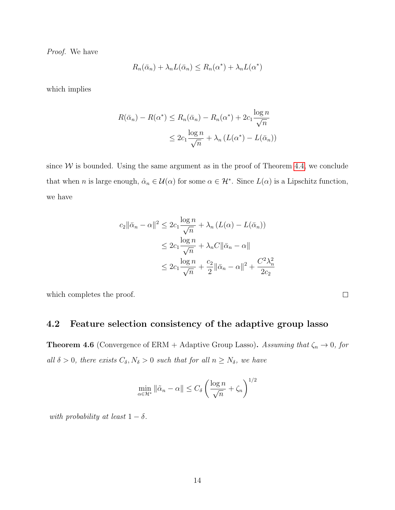Proof. We have

$$
R_n(\bar{\alpha}_n) + \lambda_n L(\bar{\alpha}_n) \le R_n(\alpha^*) + \lambda_n L(\alpha^*)
$$

which implies

$$
R(\bar{\alpha}_n) - R(\alpha^*) \le R_n(\bar{\alpha}_n) - R_n(\alpha^*) + 2c_1 \frac{\log n}{\sqrt{n}}
$$
  

$$
\le 2c_1 \frac{\log n}{\sqrt{n}} + \lambda_n (L(\alpha^*) - L(\bar{\alpha}_n))
$$

since  $W$  is bounded. Using the same argument as in the proof of Theorem 4.[4,](#page-11-1) we conclude that when n is large enough,  $\hat{\alpha}_n \in \mathcal{U}(\alpha)$  for some  $\alpha \in \mathcal{H}^*$ . Since  $L(\alpha)$  is a Lipschitz function, we have

$$
c_2 \|\bar{\alpha}_n - \alpha\|^2 \le 2c_1 \frac{\log n}{\sqrt{n}} + \lambda_n (L(\alpha) - L(\bar{\alpha}_n))
$$
  

$$
\le 2c_1 \frac{\log n}{\sqrt{n}} + \lambda_n C \|\bar{\alpha}_n - \alpha\|
$$
  

$$
\le 2c_1 \frac{\log n}{\sqrt{n}} + \frac{c_2}{2} \|\bar{\alpha}_n - \alpha\|^2 + \frac{C^2 \lambda_n^2}{2c_2}
$$

which completes the proof.

#### 4.2 Feature selection consistency of the adaptive group lasso

<span id="page-13-0"></span>**Theorem 4.6** (Convergence of ERM + Adaptive Group Lasso). Assuming that  $\zeta_n \to 0$ , for all  $\delta > 0$ , there exists  $C_{\delta}, N_{\delta} > 0$  such that for all  $n \geq N_{\delta}$ , we have

$$
\min_{\alpha \in \mathcal{H}^*} \|\tilde{\alpha}_n - \alpha\| \le C_\delta \left(\frac{\log n}{\sqrt{n}} + \zeta_n\right)^{1/2}
$$

with probability at least  $1 - \delta$ .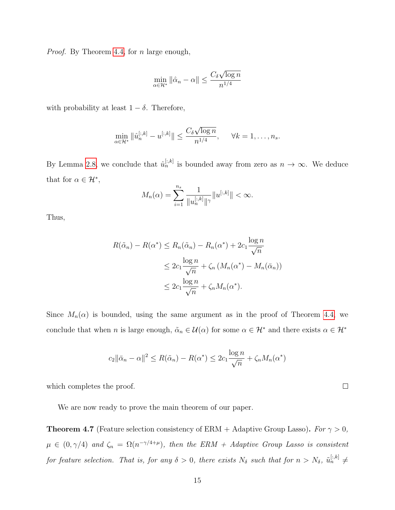Proof. By Theorem [4](#page-11-1).4, for *n* large enough,

$$
\min_{\alpha \in \mathcal{H}^*} \|\hat{\alpha}_n - \alpha\| \le \frac{C_\delta \sqrt{\log n}}{n^{1/4}}
$$

with probability at least  $1 - \delta$ . Therefore,

$$
\min_{\alpha \in \mathcal{H}^*} \|\hat{u}_n^{[:,k]} - u^{[:,k]}\| \le \frac{C_\delta \sqrt{\log n}}{n^{1/4}}, \quad \forall k = 1, \dots, n_s.
$$

By Lemma [2](#page-7-1).8, we conclude that  $\hat{u}_n^{[:,k]}$  is bounded away from zero as  $n \to \infty$ . We deduce that for  $\alpha \in \mathcal{H}^*$ ,

$$
M_n(\alpha) = \sum_{i=1}^{n_s} \frac{1}{\|u_n^{[:,k]}\|} \|u^{[:,k]}\| < \infty.
$$

Thus,

$$
R(\tilde{\alpha}_n) - R(\alpha^*) \le R_n(\tilde{\alpha}_n) - R_n(\alpha^*) + 2c_1 \frac{\log n}{\sqrt{n}}
$$
  

$$
\le 2c_1 \frac{\log n}{\sqrt{n}} + \zeta_n \left(M_n(\alpha^*) - M_n(\bar{\alpha}_n)\right)
$$
  

$$
\le 2c_1 \frac{\log n}{\sqrt{n}} + \zeta_n M_n(\alpha^*).
$$

Since  $M_n(\alpha)$  is bounded, using the same argument as in the proof of Theorem [4](#page-11-1).4, we conclude that when n is large enough,  $\tilde{\alpha}_n \in \mathcal{U}(\alpha)$  for some  $\alpha \in \mathcal{H}^*$  and there exists  $\alpha \in \mathcal{H}^*$ 

$$
c_2 \|\bar{\alpha}_n - \alpha\|^2 \le R(\tilde{\alpha}_n) - R(\alpha^*) \le 2c_1 \frac{\log n}{\sqrt{n}} + \zeta_n M_n(\alpha^*)
$$

which completes the proof.

We are now ready to prove the main theorem of our paper.

**Theorem 4.7** (Feature selection consistency of ERM + Adaptive Group Lasso). For  $\gamma > 0$ ,  $\mu \in (0, \gamma/4)$  and  $\zeta_n = \Omega(n^{-\gamma/4+\mu})$ , then the ERM + Adaptive Group Lasso is consistent for feature selection. That is, for any  $\delta > 0$ , there exists  $N_{\delta}$  such that for  $n > N_{\delta}$ ,  $\tilde{u}_n^{[:,k]} \neq$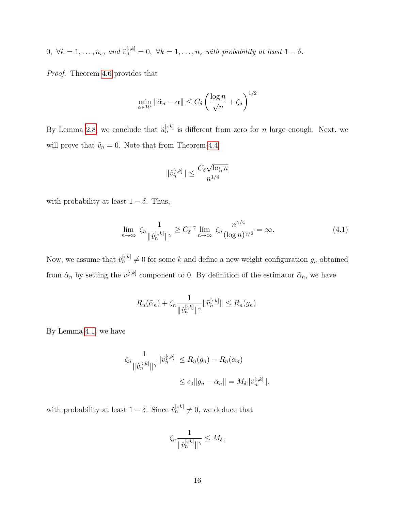$0, \forall k = 1, \ldots, n_s, \text{ and } \tilde{v}_n^{[:,k]} = 0, \forall k = 1, \ldots, n_z \text{ with probability at least } 1 - \delta.$ 

Proof. Theorem [4](#page-13-0).6 provides that

$$
\min_{\alpha \in \mathcal{H}^*} \|\tilde{\alpha}_n - \alpha\| \le C_\delta \left(\frac{\log n}{\sqrt{n}} + \zeta_n\right)^{1/2}
$$

By Lemma [2](#page-7-1).8, we conclude that  $\tilde{u}_n^{[:,k]}$  is different from zero for n large enough. Next, we will prove that  $\tilde{v}_n = 0$ . Note that from Theorem [4](#page-11-1).4

$$
\|\hat{v}_n^{[:,k]}\| \leq \frac{C_\delta \sqrt{\log n}}{n^{1/4}}
$$

with probability at least  $1 - \delta$ . Thus,

<span id="page-15-0"></span>
$$
\lim_{n \to \infty} \zeta_n \frac{1}{\|\hat{v}_n^{[:,k]}\|^\gamma} \ge C_\delta^{-\gamma} \lim_{n \to \infty} \zeta_n \frac{n^{\gamma/4}}{(\log n)^{\gamma/2}} = \infty. \tag{4.1}
$$

Now, we assume that  $\tilde{v}_n^{[:,k]} \neq 0$  for some k and define a new weight configuration  $g_n$  obtained from  $\tilde{\alpha}_n$  by setting the  $v^{[:,k]}$  component to 0. By definition of the estimator  $\tilde{\alpha}_n$ , we have

$$
R_n(\tilde{\alpha}_n) + \zeta_n \frac{1}{\|\hat{v}_n^{[:,k]}\|^\gamma} \|\tilde{v}_n^{[:,k]}\| \le R_n(g_n).
$$

By Lemma [4](#page-10-1).1, we have

$$
\zeta_n \frac{1}{\|\hat{v}_n^{[:,k]}\|^\gamma} \|\tilde{v}_n^{[:,k]}\| \le R_n(g_n) - R_n(\tilde{\alpha}_n)
$$
  

$$
\le c_0 \|g_n - \tilde{\alpha}_n\| = M_\delta \|\tilde{v}_n^{[:,k]}\|.
$$

with probability at least  $1 - \delta$ . Since  $\tilde{v}_n^{[:,k]} \neq 0$ , we deduce that

$$
\zeta_n \frac{1}{\|\hat{v}_n^{[:,k]}\|^\gamma} \le M_\delta,
$$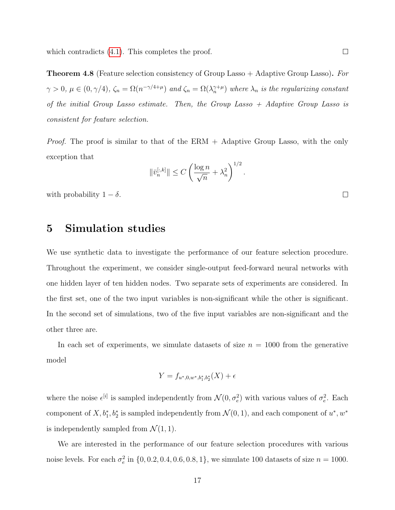which contradicts  $(4.1)$ . This completes the proof.

**Theorem 4.8** (Feature selection consistency of Group Lasso  $+$  Adaptive Group Lasso). For  $\gamma > 0$ ,  $\mu \in (0, \gamma/4)$ ,  $\zeta_n = \Omega(n^{-\gamma/4 + \mu})$  and  $\zeta_n = \Omega(\lambda_n^{\gamma+\mu})$  where  $\lambda_n$  is the regularizing constant of the initial Group Lasso estimate. Then, the Group Lasso  $+$  Adaptive Group Lasso is consistent for feature selection.

*Proof.* The proof is similar to that of the ERM  $+$  Adaptive Group Lasso, with the only exception that

$$
\|\bar{v}_n^{[:,k]}\| \le C\left(\frac{\log n}{\sqrt{n}} + \lambda_n^2\right)^{1/2}.
$$

with probability  $1 - \delta$ .

### 5 Simulation studies

We use synthetic data to investigate the performance of our feature selection procedure. Throughout the experiment, we consider single-output feed-forward neural networks with one hidden layer of ten hidden nodes. Two separate sets of experiments are considered. In the first set, one of the two input variables is non-significant while the other is significant. In the second set of simulations, two of the five input variables are non-significant and the other three are.

In each set of experiments, we simulate datasets of size  $n = 1000$  from the generative model

$$
Y = f_{u^*,0,w^*,b_1^*,b_2^*}(X) + \epsilon
$$

where the noise  $\epsilon^{[i]}$  is sampled independently from  $\mathcal{N}(0, \sigma_e^2)$  with various values of  $\sigma_e^2$ . Each component of  $X, b_1^*, b_2^*$  is sampled independently from  $\mathcal{N}(0, 1)$ , and each component of  $u^*, w^*$ is independently sampled from  $\mathcal{N}(1, 1)$ .

We are interested in the performance of our feature selection procedures with various noise levels. For each  $\sigma_e^2$  in  $\{0, 0.2, 0.4, 0.6, 0.8, 1\}$ , we simulate 100 datasets of size  $n = 1000$ .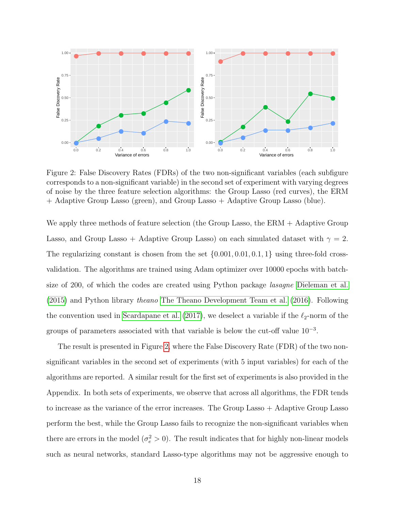

<span id="page-17-0"></span>Figure 2: False Discovery Rates (FDRs) of the two non-significant variables (each subfigure corresponds to a non-significant variable) in the second set of experiment with varying degrees of noise by the three feature selection algorithms: the Group Lasso (red curves), the ERM + Adaptive Group Lasso (green), and Group Lasso + Adaptive Group Lasso (blue).

We apply three methods of feature selection (the Group Lasso, the ERM + Adaptive Group Lasso, and Group Lasso + Adaptive Group Lasso) on each simulated dataset with  $\gamma = 2$ . The regularizing constant is chosen from the set  $\{0.001, 0.01, 0.1, 1\}$  using three-fold crossvalidation. The algorithms are trained using Adam optimizer over 10000 epochs with batchsize of 200, of which the codes are created using Python package *lasagne* [Dieleman et al.](#page-21-6) [\(2015\)](#page-21-6) and Python library theano [The Theano Development Team et al.](#page-22-8) [\(2016\)](#page-22-8). Following the convention used in [Scardapane et al.](#page-22-6) [\(2017\)](#page-22-6), we deselect a variable if the  $\ell_2$ -norm of the groups of parameters associated with that variable is below the cut-off value  $10^{-3}$ .

The result is presented in Figure [2,](#page-17-0) where the False Discovery Rate (FDR) of the two nonsignificant variables in the second set of experiments (with 5 input variables) for each of the algorithms are reported. A similar result for the first set of experiments is also provided in the Appendix. In both sets of experiments, we observe that across all algorithms, the FDR tends to increase as the variance of the error increases. The Group Lasso + Adaptive Group Lasso perform the best, while the Group Lasso fails to recognize the non-significant variables when there are errors in the model  $(\sigma_e^2 > 0)$ . The result indicates that for highly non-linear models such as neural networks, standard Lasso-type algorithms may not be aggressive enough to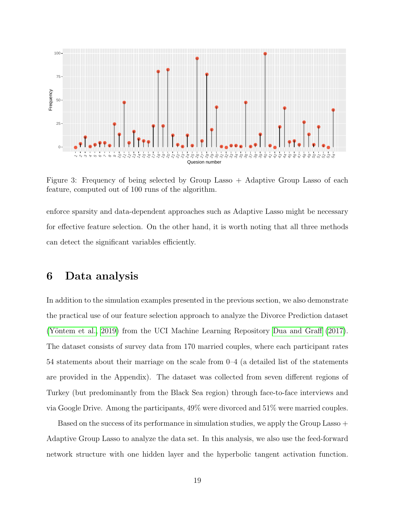

<span id="page-18-0"></span>Figure 3: Frequency of being selected by Group Lasso  $+$  Adaptive Group Lasso of each feature, computed out of 100 runs of the algorithm.

enforce sparsity and data-dependent approaches such as Adaptive Lasso might be necessary for effective feature selection. On the other hand, it is worth noting that all three methods can detect the significant variables efficiently.

## 6 Data analysis

In addition to the simulation examples presented in the previous section, we also demonstrate the practical use of our feature selection approach to analyze the Divorce Prediction dataset (Yöntem et al., 2019) from the UCI Machine Learning Repository [Dua and Graff](#page-21-7) [\(2017\)](#page-21-7). The dataset consists of survey data from 170 married couples, where each participant rates 54 statements about their marriage on the scale from 0–4 (a detailed list of the statements are provided in the Appendix). The dataset was collected from seven different regions of Turkey (but predominantly from the Black Sea region) through face-to-face interviews and via Google Drive. Among the participants, 49% were divorced and 51% were married couples.

Based on the success of its performance in simulation studies, we apply the Group Lasso + Adaptive Group Lasso to analyze the data set. In this analysis, we also use the feed-forward network structure with one hidden layer and the hyperbolic tangent activation function.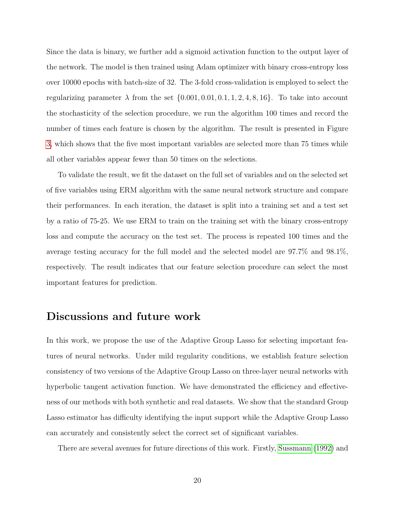Since the data is binary, we further add a sigmoid activation function to the output layer of the network. The model is then trained using Adam optimizer with binary cross-entropy loss over 10000 epochs with batch-size of 32. The 3-fold cross-validation is employed to select the regularizing parameter  $\lambda$  from the set  $\{0.001, 0.01, 0.1, 1, 2, 4, 8, 16\}$ . To take into account the stochasticity of the selection procedure, we run the algorithm 100 times and record the number of times each feature is chosen by the algorithm. The result is presented in Figure [3,](#page-18-0) which shows that the five most important variables are selected more than 75 times while all other variables appear fewer than 50 times on the selections.

To validate the result, we fit the dataset on the full set of variables and on the selected set of five variables using ERM algorithm with the same neural network structure and compare their performances. In each iteration, the dataset is split into a training set and a test set by a ratio of 75-25. We use ERM to train on the training set with the binary cross-entropy loss and compute the accuracy on the test set. The process is repeated 100 times and the average testing accuracy for the full model and the selected model are 97.7% and 98.1%, respectively. The result indicates that our feature selection procedure can select the most important features for prediction.

# Discussions and future work

In this work, we propose the use of the Adaptive Group Lasso for selecting important features of neural networks. Under mild regularity conditions, we establish feature selection consistency of two versions of the Adaptive Group Lasso on three-layer neural networks with hyperbolic tangent activation function. We have demonstrated the efficiency and effectiveness of our methods with both synthetic and real datasets. We show that the standard Group Lasso estimator has difficulty identifying the input support while the Adaptive Group Lasso can accurately and consistently select the correct set of significant variables.

There are several avenues for future directions of this work. Firstly, [Sussmann](#page-22-7) [\(1992\)](#page-22-7) and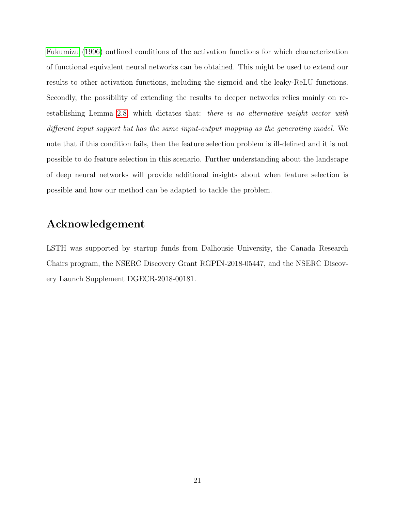[Fukumizu](#page-21-5) [\(1996\)](#page-21-5) outlined conditions of the activation functions for which characterization of functional equivalent neural networks can be obtained. This might be used to extend our results to other activation functions, including the sigmoid and the leaky-ReLU functions. Secondly, the possibility of extending the results to deeper networks relies mainly on reestablishing Lemma 2.[8,](#page-7-1) which dictates that: there is no alternative weight vector with different input support but has the same input-output mapping as the generating model. We note that if this condition fails, then the feature selection problem is ill-defined and it is not possible to do feature selection in this scenario. Further understanding about the landscape of deep neural networks will provide additional insights about when feature selection is possible and how our method can be adapted to tackle the problem.

# Acknowledgement

LSTH was supported by startup funds from Dalhousie University, the Canada Research Chairs program, the NSERC Discovery Grant RGPIN-2018-05447, and the NSERC Discovery Launch Supplement DGECR-2018-00181.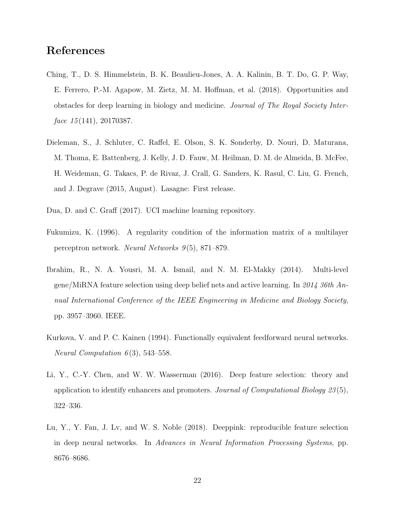# References

- <span id="page-21-0"></span>Ching, T., D. S. Himmelstein, B. K. Beaulieu-Jones, A. A. Kalinin, B. T. Do, G. P. Way, E. Ferrero, P.-M. Agapow, M. Zietz, M. M. Hoffman, et al. (2018). Opportunities and obstacles for deep learning in biology and medicine. Journal of The Royal Society Interface  $15(141)$ , 20170387.
- <span id="page-21-6"></span>Dieleman, S., J. Schluter, C. Raffel, E. Olson, S. K. Sonderby, D. Nouri, D. Maturana, M. Thoma, E. Battenberg, J. Kelly, J. D. Fauw, M. Heilman, D. M. de Almeida, B. McFee, H. Weideman, G. Takacs, P. de Rivaz, J. Crall, G. Sanders, K. Rasul, C. Liu, G. French, and J. Degrave (2015, August). Lasagne: First release.
- <span id="page-21-7"></span>Dua, D. and C. Graff (2017). UCI machine learning repository.
- <span id="page-21-5"></span>Fukumizu, K. (1996). A regularity condition of the information matrix of a multilayer perceptron network. Neural Networks  $9(5)$ , 871–879.
- <span id="page-21-1"></span>Ibrahim, R., N. A. Yousri, M. A. Ismail, and N. M. El-Makky (2014). Multi-level gene/MiRNA feature selection using deep belief nets and active learning. In 2014 36th Annual International Conference of the IEEE Engineering in Medicine and Biology Society, pp. 3957–3960. IEEE.
- <span id="page-21-4"></span>Kurkova, V. and P. C. Kainen (1994). Functionally equivalent feedforward neural networks. Neural Computation  $6(3)$ , 543-558.
- <span id="page-21-3"></span>Li, Y., C.-Y. Chen, and W. W. Wasserman (2016). Deep feature selection: theory and application to identify enhancers and promoters. Journal of Computational Biology 23 (5), 322–336.
- <span id="page-21-2"></span>Lu, Y., Y. Fan, J. Lv, and W. S. Noble (2018). Deeppink: reproducible feature selection in deep neural networks. In Advances in Neural Information Processing Systems, pp. 8676–8686.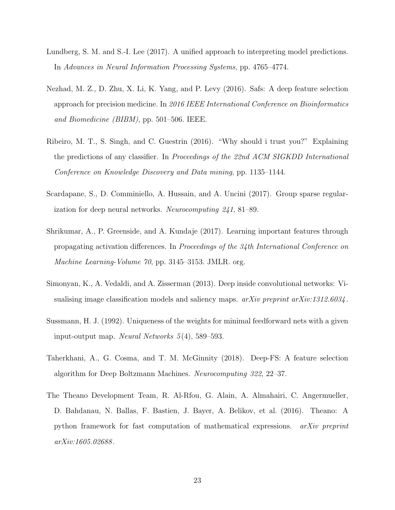- <span id="page-22-2"></span>Lundberg, S. M. and S.-I. Lee (2017). A unified approach to interpreting model predictions. In Advances in Neural Information Processing Systems, pp. 4765–4774.
- <span id="page-22-4"></span>Nezhad, M. Z., D. Zhu, X. Li, K. Yang, and P. Levy (2016). Safs: A deep feature selection approach for precision medicine. In 2016 IEEE International Conference on Bioinformatics and Biomedicine (BIBM), pp. 501–506. IEEE.
- <span id="page-22-1"></span>Ribeiro, M. T., S. Singh, and C. Guestrin (2016). "Why should i trust you?" Explaining the predictions of any classifier. In Proceedings of the 22nd ACM SIGKDD International Conference on Knowledge Discovery and Data mining, pp. 1135–1144.
- <span id="page-22-6"></span>Scardapane, S., D. Comminiello, A. Hussain, and A. Uncini (2017). Group sparse regularization for deep neural networks. Neurocomputing 241, 81–89.
- <span id="page-22-3"></span>Shrikumar, A., P. Greenside, and A. Kundaje (2017). Learning important features through propagating activation differences. In Proceedings of the 34th International Conference on Machine Learning-Volume 70, pp. 3145–3153. JMLR. org.
- <span id="page-22-0"></span>Simonyan, K., A. Vedaldi, and A. Zisserman (2013). Deep inside convolutional networks: Visualising image classification models and saliency maps.  $arXiv$  preprint  $arXiv:1312.6034$ .
- <span id="page-22-7"></span>Sussmann, H. J. (1992). Uniqueness of the weights for minimal feedforward nets with a given input-output map. Neural Networks  $5(4)$ , 589–593.
- <span id="page-22-5"></span>Taherkhani, A., G. Cosma, and T. M. McGinnity (2018). Deep-FS: A feature selection algorithm for Deep Boltzmann Machines. Neurocomputing 322, 22–37.
- <span id="page-22-8"></span>The Theano Development Team, R. Al-Rfou, G. Alain, A. Almahairi, C. Angermueller, D. Bahdanau, N. Ballas, F. Bastien, J. Bayer, A. Belikov, et al. (2016). Theano: A python framework for fast computation of mathematical expressions. arXiv preprint arXiv:1605.02688 .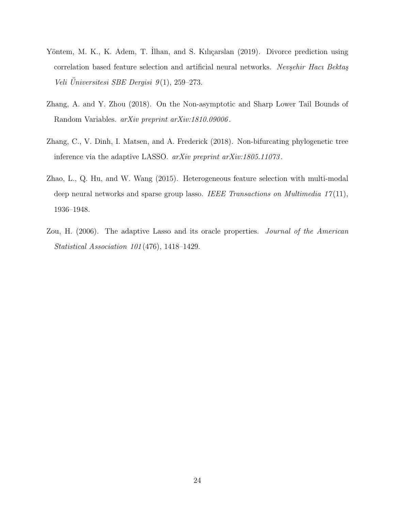- <span id="page-23-3"></span>Yöntem, M. K., K. Adem, T. Ilhan, and S. Kılıçarslan (2019). Divorce prediction using correlation based feature selection and artificial neural networks. Nevşehir Hacı Bektaş Veli Universitesi SBE Dergisi  $9(1)$ , 259–273.
- <span id="page-23-4"></span>Zhang, A. and Y. Zhou (2018). On the Non-asymptotic and Sharp Lower Tail Bounds of Random Variables. arXiv preprint arXiv:1810.09006 .
- <span id="page-23-2"></span>Zhang, C., V. Dinh, I. Matsen, and A. Frederick (2018). Non-bifurcating phylogenetic tree inference via the adaptive LASSO. arXiv preprint arXiv:1805.11073.
- <span id="page-23-0"></span>Zhao, L., Q. Hu, and W. Wang (2015). Heterogeneous feature selection with multi-modal deep neural networks and sparse group lasso. IEEE Transactions on Multimedia  $17(11)$ , 1936–1948.
- <span id="page-23-1"></span>Zou, H. (2006). The adaptive Lasso and its oracle properties. Journal of the American Statistical Association 101 (476), 1418–1429.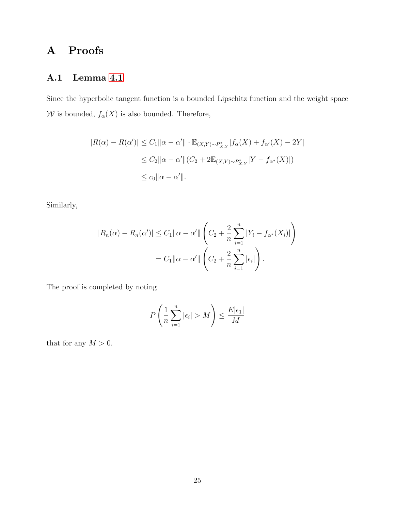# A Proofs

### A.1 Lemma [4.1](#page-10-1)

Since the hyperbolic tangent function is a bounded Lipschitz function and the weight space  $\mathcal W$  is bounded,  $f_\alpha(X)$  is also bounded. Therefore,

$$
|R(\alpha) - R(\alpha')| \le C_1 \|\alpha - \alpha'\| \cdot \mathbb{E}_{(X,Y) \sim P_{X,Y}^*} |f_{\alpha}(X) + f_{\alpha'}(X) - 2Y|
$$
  

$$
\le C_2 \|\alpha - \alpha'\| (C_2 + 2\mathbb{E}_{(X,Y) \sim P_{X,Y}^*} |Y - f_{\alpha^*}(X)|)
$$
  

$$
\le c_0 \|\alpha - \alpha'\|.
$$

Similarly,

$$
|R_n(\alpha) - R_n(\alpha')| \le C_1 \|\alpha - \alpha'\| \left( C_2 + \frac{2}{n} \sum_{i=1}^n |Y_i - f_{\alpha^*}(X_i)| \right)
$$
  
=  $C_1 \|\alpha - \alpha'\| \left( C_2 + \frac{2}{n} \sum_{i=1}^n |\epsilon_i| \right).$ 

The proof is completed by noting

$$
P\left(\frac{1}{n}\sum_{i=1}^{n}|\epsilon_i| > M\right) \le \frac{E|\epsilon_1|}{M}
$$

that for any  $M>0.$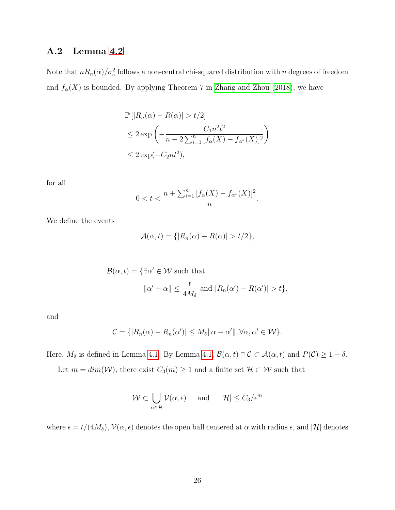#### A.2 Lemma [4.2](#page-10-0)

Note that  $nR_n(\alpha)/\sigma_e^2$  follows a non-central chi-squared distribution with n degrees of freedom and  $f_{\alpha}(X)$  is bounded. By applying Theorem 7 in [Zhang and Zhou](#page-23-4) [\(2018\)](#page-23-4), we have

$$
\mathbb{P}\left[|R_n(\alpha) - R(\alpha)| > t/2\right]
$$
  
\n
$$
\leq 2 \exp\left(-\frac{C_1 n^2 t^2}{n + 2 \sum_{i=1}^n [f_\alpha(X) - f_{\alpha^*}(X)]^2}\right)
$$
  
\n
$$
\leq 2 \exp(-C_2 nt^2),
$$

for all

$$
0 < t < \frac{n + \sum_{i=1}^{n} [f_{\alpha}(X) - f_{\alpha^*}(X)]^2}{n}.
$$

We define the events

$$
\mathcal{A}(\alpha, t) = \{ |R_n(\alpha) - R(\alpha)| > t/2 \},\
$$

$$
\mathcal{B}(\alpha, t) = \{ \exists \alpha' \in \mathcal{W} \text{ such that}
$$

$$
\|\alpha' - \alpha\| \le \frac{t}{4M_{\delta}} \text{ and } |R_n(\alpha') - R(\alpha')| > t \},
$$

and

$$
C = \{ |R_n(\alpha) - R_n(\alpha')| \le M_\delta \|\alpha - \alpha'\|, \forall \alpha, \alpha' \in \mathcal{W} \}.
$$

Here,  $M_{\delta}$  is defined in Lemma [4.1.](#page-10-1) By Lemma [4.1,](#page-10-1)  $\mathcal{B}(\alpha, t) \cap \mathcal{C} \subset \mathcal{A}(\alpha, t)$  and  $P(\mathcal{C}) \geq 1 - \delta$ .

Let  $m = dim(W)$ , there exist  $C_3(m) \ge 1$  and a finite set  $\mathcal{H} \subset \mathcal{W}$  such that

$$
\mathcal{W} \subset \bigcup_{\alpha \in \mathcal{H}} \mathcal{V}(\alpha, \epsilon) \quad \text{and} \quad |\mathcal{H}| \leq C_3 / \epsilon^m
$$

where  $\epsilon = t/(4M_{\delta})$ ,  $\mathcal{V}(\alpha, \epsilon)$  denotes the open ball centered at  $\alpha$  with radius  $\epsilon$ , and  $|\mathcal{H}|$  denotes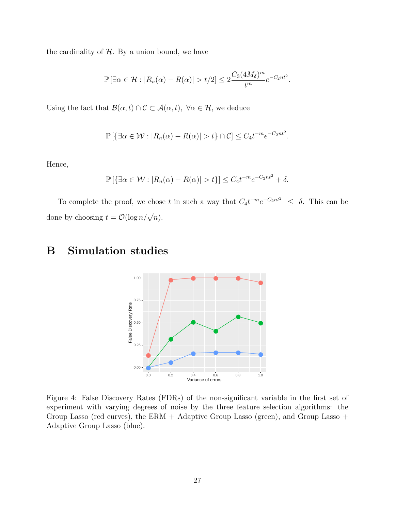the cardinality of  $H$ . By a union bound, we have

$$
\mathbb{P}\left[\exists \alpha \in \mathcal{H} : |R_n(\alpha) - R(\alpha)| > t/2\right] \leq 2\frac{C_3 (4M_\delta)^m}{t^m} e^{-C_2nt^2}.
$$

Using the fact that  $\mathcal{B}(\alpha, t) \cap \mathcal{C} \subset \mathcal{A}(\alpha, t)$ ,  $\forall \alpha \in \mathcal{H}$ , we deduce

$$
\mathbb{P}\left[\left\{\exists\alpha\in\mathcal{W}:|R_n(\alpha)-R(\alpha)|>t\right\}\cap\mathcal{C}\right]\leq C_4t^{-m}e^{-C_2nt^2}.
$$

Hence,

$$
\mathbb{P}\left[\left\{\exists \alpha \in \mathcal{W} : |R_n(\alpha) - R(\alpha)| > t\right\}\right] \le C_4 t^{-m} e^{-C_2 nt^2} + \delta.
$$

To complete the proof, we chose t in such a way that  $C_4 t^{-m} e^{-C_2 nt^2} \leq \delta$ . This can be done by choosing  $t = \mathcal{O}(\log n/\sqrt{n}).$ 

# B Simulation studies



Figure 4: False Discovery Rates (FDRs) of the non-significant variable in the first set of experiment with varying degrees of noise by the three feature selection algorithms: the Group Lasso (red curves), the ERM + Adaptive Group Lasso (green), and Group Lasso + Adaptive Group Lasso (blue).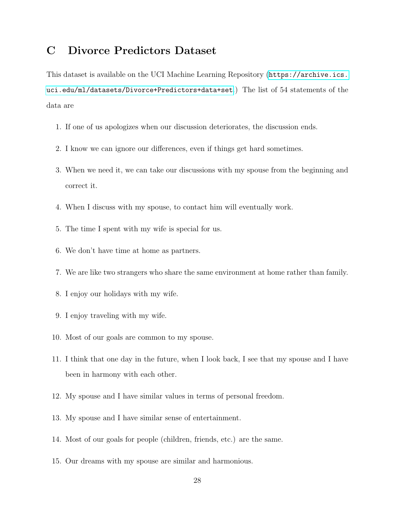# C Divorce Predictors Dataset

This dataset is available on the UCI Machine Learning Repository ([https://archive.ics.](https://archive.ics.uci.edu/ml/datasets/Divorce+Predictors+data+set) [uci.edu/ml/datasets/Divorce+Predictors+data+set](https://archive.ics.uci.edu/ml/datasets/Divorce+Predictors+data+set).) The list of 54 statements of the data are

- 1. If one of us apologizes when our discussion deteriorates, the discussion ends.
- 2. I know we can ignore our differences, even if things get hard sometimes.
- 3. When we need it, we can take our discussions with my spouse from the beginning and correct it.
- 4. When I discuss with my spouse, to contact him will eventually work.
- 5. The time I spent with my wife is special for us.
- 6. We don't have time at home as partners.
- 7. We are like two strangers who share the same environment at home rather than family.
- 8. I enjoy our holidays with my wife.
- 9. I enjoy traveling with my wife.
- 10. Most of our goals are common to my spouse.
- 11. I think that one day in the future, when I look back, I see that my spouse and I have been in harmony with each other.
- 12. My spouse and I have similar values in terms of personal freedom.
- 13. My spouse and I have similar sense of entertainment.
- 14. Most of our goals for people (children, friends, etc.) are the same.
- 15. Our dreams with my spouse are similar and harmonious.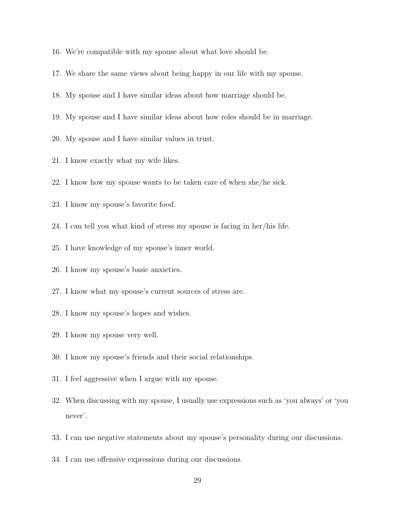- 16. We're compatible with my spouse about what love should be.
- 17. We share the same views about being happy in our life with my spouse.
- 18. My spouse and I have similar ideas about how marriage should be.
- 19. My spouse and I have similar ideas about how roles should be in marriage.
- 20. My spouse and I have similar values in trust.
- 21. I know exactly what my wife likes.
- 22. I know how my spouse wants to be taken care of when she/he sick.
- 23. I know my spouse's favorite food.
- 24. I can tell you what kind of stress my spouse is facing in her/his life.
- 25. I have knowledge of my spouse's inner world.
- 26. I know my spouse's basic anxieties.
- 27. I know what my spouse's current sources of stress are.
- 28. I know my spouse's hopes and wishes.
- 29. I know my spouse very well.
- 30. I know my spouse's friends and their social relationships.
- 31. I feel aggressive when I argue with my spouse.
- 32. When discussing with my spouse, I usually use expressions such as 'you always' or 'you never'.
- 33. I can use negative statements about my spouse's personality during our discussions.
- 34. I can use offensive expressions during our discussions.